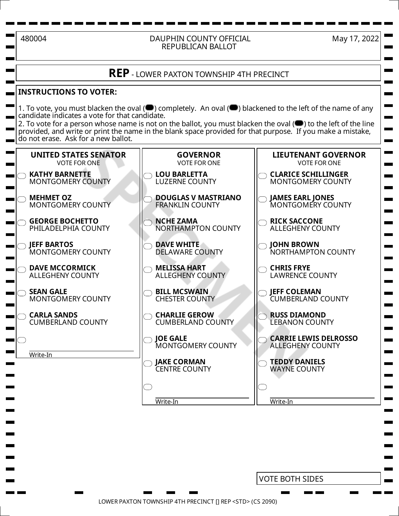## 480004 DAUPHIN COUNTY OFFICIAL REPUBLICAN BALLOT

May 17, 2022

## **REP** - LOWER PAXTON TOWNSHIP 4TH PRECINCT **INSTRUCTIONS TO VOTER:** 1. To vote, you must blacken the oval  $(\bullet)$  completely. An oval  $(\bullet)$  blackened to the left of the name of any candidate indicates a vote for that candidate. 2. To vote for a person whose name is not on the ballot, you must blacken the oval  $($ **)** to the left of the line provided, and write or print the name in the blank space provided for that purpose. If you make a mistake, do not erase. Ask for a new ballot. **UNITED STATES SENATOR** VOTE FOR ONE **KATHY BARNETTE** MONTGOMERY COUNTY **MEHMET OZ** MONTGOMERY COUNTY **GEORGE BOCHETTO** PHILADELPHIA COUNTY **JEFF BARTOS** MONTGOMERY COUNTY **DAVE MCCORMICK** ALLEGHENY COUNTY **SEAN GALE** MONTGOMERY COUNTY **CARLA SANDS** CUMBERLAND COUNTY Write-In **GOVERNOR** VOTE FOR ONE **LOU BARLETTA** LUZERNE COUNTY **DOUGLAS V MASTRIANO** FRANKLIN COUNTY **NCHE ZAMA** NORTHAMPTON COUNTY **DAVE WHITE** DELAWARE COUNTY **MELISSA HART** ALLEGHENY COUNTY **BILL MCSWAIN** CHESTER COUNTY **CHARLIE GEROW** CUMBERLAND COUNTY **JOE GALE** MONTGOMERY COUNTY **JAKE CORMAN** CENTRE COUNTY Write-In **LIEUTENANT GOVERNOR** VOTE FOR ONE **CLARICE SCHILLINGER** MONTGOMERY COUNTY **JAMES EARL JONES** MONTGOMERY COUNTY **RICK SACCONE** ALLEGHENY COUNTY **JOHN BROWN** NORTHAMPTON COUNTY **CHRIS FRYE** LAWRENCE COUNTY **JEFF COLEMAN** CUMBERLAND COUNTY **RUSS DIAMOND** LEBANON COUNTY **CARRIE LEWIS DELROSSO** ALLEGHENY COUNTY **TEDDY DANIELS** WAYNE COUNTY Write-In

VOTE BOTH SIDES